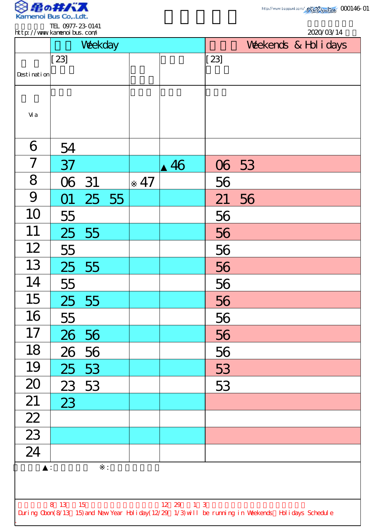

2020/03/14

TEL 0977-23-0141 http://www.kamenoibus.com/

|                                                                                                                                          |        | Weekday |  |    |    | Weekends & Hol i days |       |  |  |  |  |  |
|------------------------------------------------------------------------------------------------------------------------------------------|--------|---------|--|----|----|-----------------------|-------|--|--|--|--|--|
| Desti nati on                                                                                                                            | $[23]$ |         |  |    |    | [23]                  |       |  |  |  |  |  |
| Vi a                                                                                                                                     |        |         |  |    |    |                       |       |  |  |  |  |  |
| 6                                                                                                                                        | 54     |         |  |    |    |                       |       |  |  |  |  |  |
| $\overline{7}$                                                                                                                           | 37     |         |  |    | 46 |                       | 06 53 |  |  |  |  |  |
| 8                                                                                                                                        | 06 31  |         |  | 47 |    | 56                    |       |  |  |  |  |  |
| 9                                                                                                                                        | O1     | 25 55   |  |    |    | 21                    | 56    |  |  |  |  |  |
| 10                                                                                                                                       | 55     |         |  |    |    | 56                    |       |  |  |  |  |  |
| 11                                                                                                                                       |        | 25 55   |  |    |    | 56                    |       |  |  |  |  |  |
| 12                                                                                                                                       | 55     |         |  |    |    | 56                    |       |  |  |  |  |  |
| 13                                                                                                                                       | 25     | 55      |  |    |    | 56                    |       |  |  |  |  |  |
| 14                                                                                                                                       | 55     |         |  |    |    | 56                    |       |  |  |  |  |  |
| 15                                                                                                                                       |        | 25 55   |  |    |    | 56                    |       |  |  |  |  |  |
| 16                                                                                                                                       | 55     |         |  |    |    | 56                    |       |  |  |  |  |  |
| 17                                                                                                                                       |        | 26 56   |  |    |    | 56                    |       |  |  |  |  |  |
| 18                                                                                                                                       |        | 26 56   |  |    |    | 56                    |       |  |  |  |  |  |
| 19                                                                                                                                       |        | 25 53   |  |    |    | 53                    |       |  |  |  |  |  |
| 20                                                                                                                                       |        | 23 53   |  |    |    | 53                    |       |  |  |  |  |  |
| 21                                                                                                                                       | 23     |         |  |    |    |                       |       |  |  |  |  |  |
| $\frac{22}{23}$                                                                                                                          |        |         |  |    |    |                       |       |  |  |  |  |  |
|                                                                                                                                          |        |         |  |    |    |                       |       |  |  |  |  |  |
| 24                                                                                                                                       |        |         |  |    |    |                       |       |  |  |  |  |  |
| $\ddot{\cdot}$<br>÷,                                                                                                                     |        |         |  |    |    |                       |       |  |  |  |  |  |
| 8 13<br>15<br>12 29<br>$1 \quad 3$<br>During Cbon(8/13 15) and New Year Holiday(12/29 1/3) will be running in Weekends Holidays Schedule |        |         |  |    |    |                       |       |  |  |  |  |  |